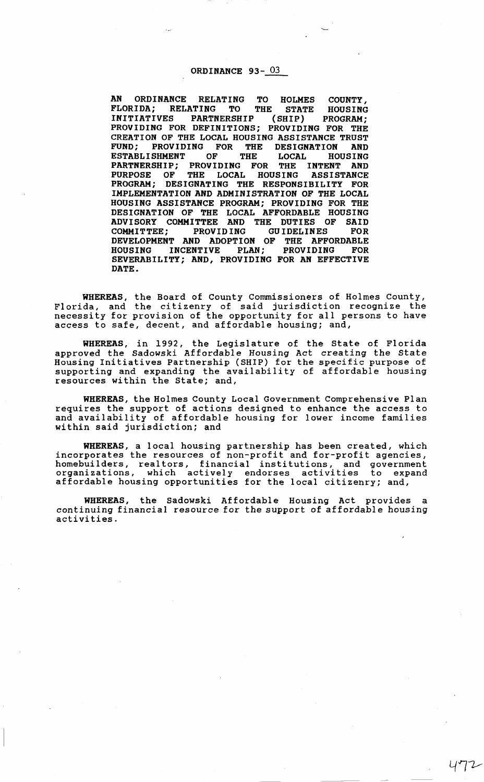## ORDINANCE 93-<sup>03</sup>

AN ORDINANCE RELATING TO HOLMES COUNTY, FLORIDA; RELATING TO THE STATE HOUSING INITIATIVES PARTNERSHIP (SHIP) PROGRAM; PROVIDING FOR DEFINITIONS; PROVIDING FOR THE CREATION OF THE LOCAL HOUSING ASSISTANCE TRUST FUND; PROVIDING FOR THE DESIGNATION AND ESTABLISHMENT OF THE LOCAL HOUSING PARTNERSHIP; PROVIDING FOR THE INTENT AND PURPOSE OF THE LOCAL HOUSING ASSISTANCE PROGRAM; DESIGNATING THE RESPONSIBILITY FOR IMPLEMENTATION AND ADMINISTRATION OF THE LOCAL HOUSING ASSISTANCE PROGRAM; PROVIDING FOR THE DESIGNATION OF THE LOCAL AFFORDABLE HOUSING<br>ADVISORY COMMITTER AND THE DUTIES OF SAID ADVISORY COMMITTEE AND THE DUTIES OF COMMITTEE; PROVIDING GUIDELINES FOR DEVELOPMENT AND ADOPTION OF THE AFFORDABLE<br>HOUSING INCENTIVE PLAN; PROVIDING FOR HOUSING INCENTIVE PLAN; PROVIDING FOR SEVERABILITY; AND, PROVIDING FOR AN EFFECTIVE DATE.

WHEREAS, the Board of County Commissioners of Holmes County, Florida, and the citizenry of said jurisdiction recognize the necessity for provision of the opportunity for all persons to have access to safe, decent, and affordable housing; and,

WHEREAS, in 1992, the Legislature of the State of Florida approved the Sadowski Affordable Housing Act creating the State Housing Initiatives Partnership (SHIP) for the specific purpose of supporting and expanding the availability of affordable housing resources within the State; and,

WHEREAS, the Holmes County Local Government Comprehensive Plan requires the support of actions designed to enhance the access to and availability of affordable housing for lower income families within said jurisdiction; and

WHEREAS, a local housing partnership has been created, which incorporates the resources of non-profit and for-profit agencies, homebuilders, realtors, financial institutions, and government organizations, which actively endorses activities to expand affordable housing opportunities for the local citizenry; and,

WHEREAS, the Sadowski Affordable Housing Act provides a continuing financial resource for the support of affordable housing activities.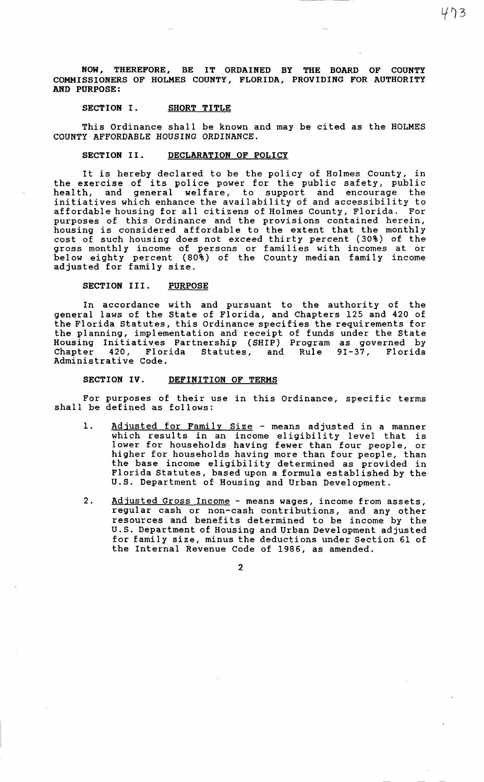NOW, THEREFORE, BE IT ORDAINED BY THE BOARD OF COUNTY COMMISSIONERS OF HOLMES COUNTY, FLORIDA, PROVIDING FOR AUTHORITY AND PURPOSE:

### SECTION I. SHORT TITLE

This Ordinance shall be known and may be cited as the HOLMES COUNTY AFFORDABLE HOUSING ORDINANCE.

# SECTION II. DECLARATION OF POLICY

It is hereby declared to be the policy of Holmes County, in the exercise of its police power for the public safety, public health, and general welfare, to support and encourage the initiatives which enhance the availability of and accessibility to affordable housing for all citizens of Holmes County, Florida. For purposes of this Ordinance and the provisions contained herein, housing is considered affordable to the extent that the monthly cost of such housing does not exceed thirty percent (30%) of the gross monthly income of persons or families with incomes at or below eighty percent (80%) of the County median family income adjusted for family size.

### SECTION III. PURPOSE

In accordance with and pursuant to the authority of the general laws of the State of Florida, and Chapters 125 and 420 of the Florida Statutes, this Ordinance specifies the requirements for the planning, implementation and receipt of funds under the State Housing Initiatives Partnership (SHIP) Program as governed by Chapter 420, Florida Statutes, and Rule 9I-37, Florida Administrative Code.

### SECTION IV. DEFINITION OF TERMS

For purposes of their use in this Ordinance, specific terms shall be defined as follows:

- 1. Adjusted for Family Size means adjusted in a manner which results in an income eligibility level that is lower for households having fewer than four people, or higher for households having more than four people, than the base income eligibility determined as provided in Florida Statutes, based upon a formula established by the U.S. Department of Housing and Urban Development.
- 2. Adjusted Gross Income means wages, income from assets, regular cash or non-cash contributions, and any other resources and benefits determined to be income by the U.S. Department of Housing and Urban Development adjusted for family size, minus the deductions under Section 61 of the Internal Revenue Code of 1986, as amended.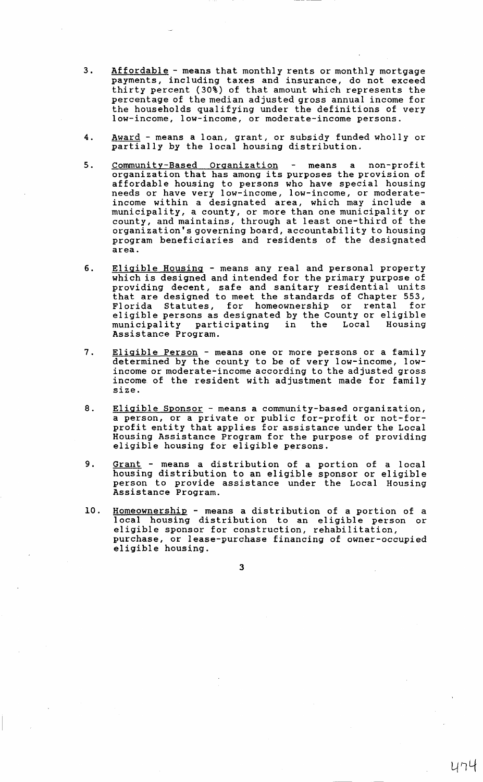- 3. Affordable means that monthly rents or monthly mortgage payments, including taxes and insurance, do not exceed thirty percent (30%) of that amount which represents the percentage of the median adjusted gross annual income for the households qualifying under the definitions of very low-income, low-income, or moderate-income persons.
- 4. Award means a loan, grant, or subsidy funded wholly or partially by the local housing distribution.
- 5. Community-Based Organization means a non-profit organization that has among its purposes the provision of affordable housing to persons who have special housing needs or have very low-income, low-income, or moderateincome within a designated area, which may include a municipality, a county, or more than one municipality or county, and maintains, through at least one-third of the organization's governing board, accountability to housing program beneficiaries and residents of the designated area.
- 6. Eligible Housing means any real and personal property which is designed and intended for the primary purpose of providing decent, safe and sanitary residential units that are designed to meet the standards of Chapter 553, Florida Statutes, for homeownership or rental for eligible persons as designated by the County or eligible<br>municipality participating in the Local Housing municipality participating Assistance Program.
- 7. Eligible Person means one or more persons or a family determined by the county to be of very low-income, lowincome or moderate-income according to the adjusted gross income of the resident with adjustment made for family size.
- 8. Eligible Sponsor means a community-based organization, a person, or a private or public for-profit or not-forprofit entity that applies for assistance under the Local Housing Assistance Program for the purpose of providing eligible housing for eligible persons.
- 9. Grant means a distribution of a portion of a local housing distribution to an eligible sponsor or eligible person to provide assistance under the Local Housing Assistance Program.
- 10. Homeownership means a distribution of a portion of a 1 ocal housing distribution to an eligible person or eligible sponsor for construction, rehabilitation, purchase, or lease-purchase financing of owner-occupied eligible housing.

3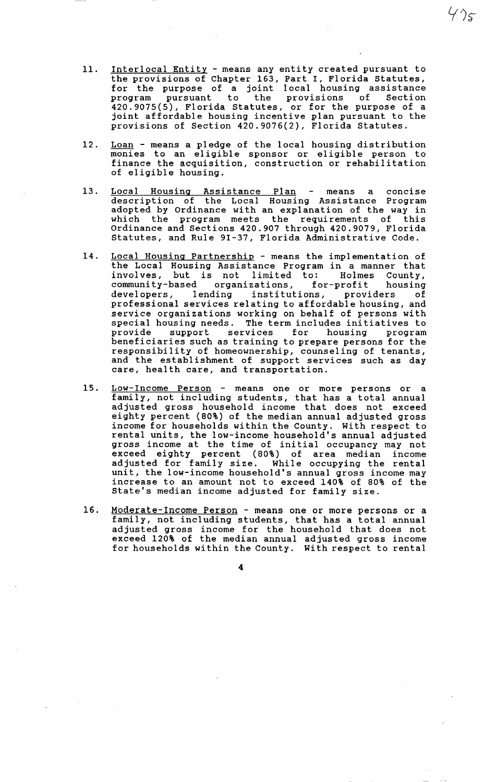11. Interlocal Entity - means any entity created pursuant to the provisions of Chapter 163, Part I, Florida Statutes, for the purpose of a joint local housing assistance program pursuant to the provisions of Section 420.9075(5), Florida Statutes, or for the purpose of a joint affordable housing incentive plan pursuant to the provisions of Section 420.9076(2), Florida Statutes.

- 12. Loan means a pledge of the local housing distribution monies to an eligible sponsor or eligible person to finance the acquisition, construction or rehabilitation of eligible housing.
- 13. Local Housing Assistance Plan means a concise description of the Local Housing Assistance Program adopted by Ordinance with an explanation of the way in which the program meets the requirements of this Ordinance and Sections 420.907 through 420.9079, Florida Statutes, and Rule 9I-37, Florida Administrative Code.
- 14. Local Housing Partnership means the implementation of the Local Housing Assistance Program in a manner that involves, but is not limited to: Holmes County,<br>community-based organizations. for-profit housing community-based organizations, for-profit housing developers, lending institutions, providers of developers, lending institutions, providers of<br>professional services relating to affordable housing, and service organizations working on behalf of persons with special housing needs. The term includes initiatives to<br>provide support services for housing program provide support services for housing beneficiaries such as training to prepare persons for the responsibility of homeownership, counseling of tenants, and the establishment of support services such as day care, health care, and transportation.
- 15. <u>Low-Income Person</u> means one or more persons or a family, not including students, that has a total annual adjusted gross household income that does not exceed eighty percent (80%) of the median annual adjusted gross income for households within the County. With respect to rental units, the low-income household's annual adjusted gross income at the time of initial occupancy may not exceed eighty percent (80%) of area median income adjusted for family size. While occupying the rental unit, the low-income household's annual gross income may increase to an amount not to exceed 140% of 80% of the State's median income adjusted for family size.
- 16. Moderate-Income Person means one or more persons or a family, not including students, that has a total annual adjusted gross income for the household that does not exceed 120% of the median annual adjusted gross income for households within the County. With respect to rental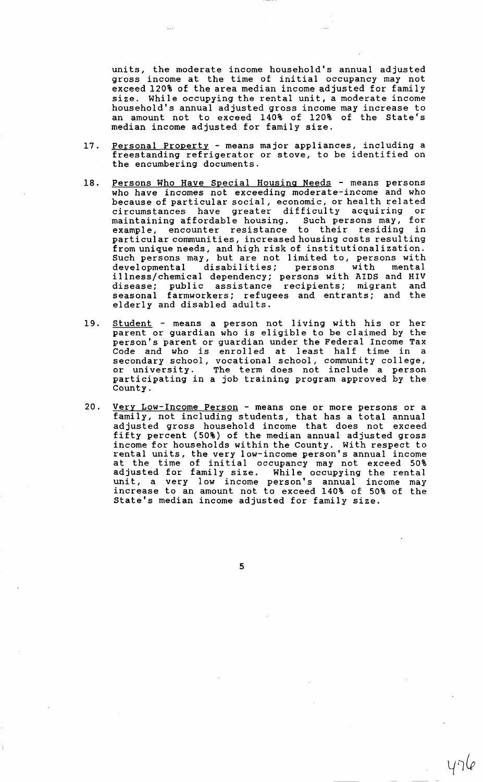units, the moderate income household's annual adjusted gross income at the time of initial occupancy may not exceed 120% of the area median income adjusted for family size. While occupying the rental unit, a moderate income household's annual adjusted gross income may increase to an amount not to exceed 140% of 120% of the State's median income adjusted for family size.

- 17. Personal Property means major appliances, including a freestanding refrigerator or stove, to be identified on the encumbering documents.
- 18. Persons Who Have Special Housing Needs means persons who have incomes not exceeding moderate-income and who because of particular social, economic, or health related<br>circumstances have greater difficulty acquiring or circumstances have greater difficulty acquiring maintaining affordable housing. Such persons may, for<br>example, encounter resistance to their residing in example, encounter resistance particular communities, increased housing costs resulting from unique needs, and high risk of institutionalization. Such persons may, but are not limited to, persons with<br>developmental disabilities; persons with mental disabilities; persons illness/chemical dependency; persons with AIDS and HIV disease; public assistance recipients; migrant and seasonal farmworkers; refugees and entrants; and the elderly and disabled adults.
- 19. <u>Student</u> means a person not living with his or her parent or guardian who is eligible to be claimed by the person's parent or guardian under the Federal Income Tax Code and who is enrolled at least half time in a secondary school, vocational school, community college, or university. The term does not include a person participating in a job training program approved by the County.
- 20. Very Low-Income Person means one or more persons or a family, not including students, that has a total annual adjusted gross household income that does not exceed fifty percent (50%) of the median annual adjusted gross income for households within the County. With respect to rental units, the very low-income person's annual income at the time of initial occupancy may not exceed 50% adjusted for family size. While occupying the rental unit, a very low income person's annual income may increase to an amount not to exceed 140% of 50% of the State's median income adjusted for family size.

5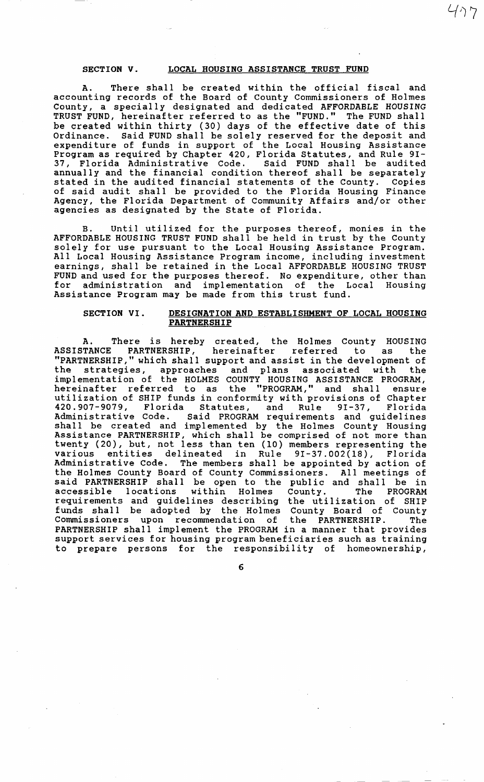## SECTION V. LOCAL HOUSING ASSISTANCE TRUST FUND

477

A. There shall be created within the official fiscal and accounting records of the Board of County Commissioners of Holmes County, a specially designated and dedicated AFFORDABLE HOUSING TRUST FUND, hereinafter referred to as the "FUND." The FUND shall be created within thirty (30) days of the effective date of this Ordinance. Said FUND shall be solely reserved for the deposit and expenditure of funds in support of the Local Housing Assistance Program as required by Chapter 420, Florida Statutes, and Rule 9I-37, Florida Administrative Code. Said FUND shall be audited annually and the financial condition thereof shall be separately stated in the audited financial statements of the County. Copies of said audit shall be provided to the Florida Housing Finance Agency, the Florida Department of Community Affairs and/or other agencies as designated by the State of Florida.

B. Until utilized for the purposes thereof, monies in the AFFORDABLE HOUSING TRUST FUND shall be held in trust by the County solely for use pursuant to the Local Housing Assistance Program. All Local Housing Assistance Program income, including investment earnings, shall be retained in the Local AFFORDABLE HOUSING TRUST FUND and used for the purposes thereof. No expenditure, other than for administration and implementation of the Local Housing Assistance Program may be made from this trust fund.

## SECTION VI. DESIGNATION AND ESTABLISHMENT OF LOCAL HOUSING **PARTNERSHIP**

A. There is hereby created, the Holmes County HOUSING ASSISTANCE PARTNERSHIP, hereinafter referred to as the "PARTNERSHIP," which shal 1 support and assist in the development of the strategies, approaches and plans associated with the implementation of the HOLMES COUNTY HOUSING ASSISTANCE PROGRAM, hereinafter referred to as the "PROGRAM," and shall ensure utilization of SHIP funds in conformity with provisions of Chapter 420.907-9079, Florida Statutes, and Rule 9I-37, Florida Administrative Code. Said PROGRAM requirements and guidelines shall be created and implemented by the Holmes County Housing Assistance PARTNERSHIP, which shall be comprised of not more than twenty (20), but, not less than ten (10) members representing the<br>various entities delineated in Rule 9I-37.002(18), Florida entities delineated in Rule 9I-37.002(18), Administrative Code. The members shall be appointed by action of the Holmes County Board of County Commissioners. All meetings of said PARTNERSHIP shall be open to the public and shall be in accessible locations within Holmes County. The PROGRAM requirements and guidelines describing the utilization of SHIP funds shall be adopted by the Holmes County Board of County Commissioners upon recommendation of the PARTNERSHIP. The PARTNERSHIP shall implement the PROGRAM in a manner that provides support services for housing program beneficiaries such as training to prepare persons for the responsibility of homeownership,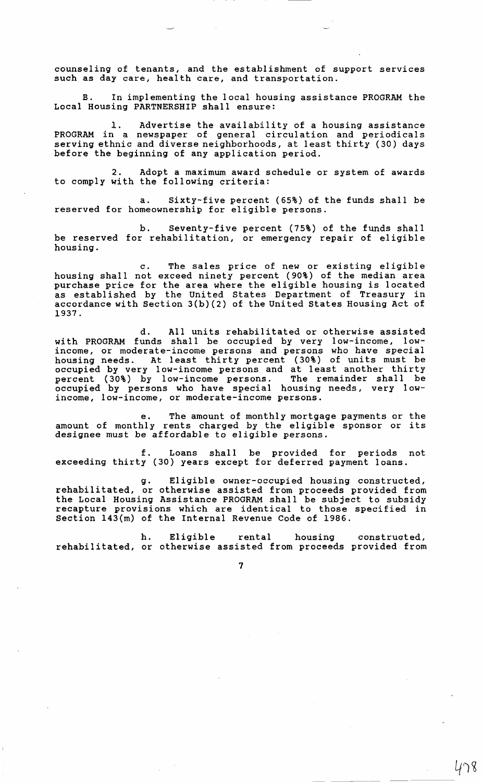counseling of tenants, and the establishment of support services such as day care, health care, and transportation.

B. In implementing the local housing assistance PROGRAM the Local Housing PARTNERSHIP shall ensure:

1. Advertise the availability of a housing assistance PROGRAM in a newspaper of general circulation and periodicals serving ethnic and diverse neighborhoods, at least thirty (30) days before the beginning of any application period.

2. Adopt a maximum award schedule or system of awards to comply with the following criteria:

a. Sixty-five percent (65%) of the funds shall be reserved for homeownership for eligible persons.

b. Seventy-five percent (75%) of the funds shall be reserved for rehabilitation, or emergency repair of eligible housing.

c. The sales price of new or existing eligible housing shall not exceed ninety percent (90%) of the median area purchase price for the area where the eligible housing is located as established by the United States Department of Treasury in accordance with Section 3(b)(2) of the United States Housing Act of 1937.

d. All units rehabilitated or otherwise assisted with PROGRAM funds shall be occupied by very low-income, lowincome, or moderate-income persons and persons who have special housing needs. At least thirty percent (30%) of units must be occupied by very low-income persons and at least another thirty percent (30%) by low-income persons. The remainder shall be occupied by persons who have special housing needs, very lowincome, low-income, or moderate-income persons.

e. The amount of monthly mortgage payments or the amount of monthly rents charged by the eligible sponsor or its designee must be affordable to eligible persons.

f. Loans shall be provided for periods not exceeding thirty (30) years except for deferred payment loans.

g. Eligible owner-occupied housing constructed, rehabilitated, or otherwise assisted from proceeds provided from the Local Housing Assistance PROGRAM shall be subject to subsidy recapture provisions which are identical to those specified in Section 143(m) of the Internal Revenue Code of 1986.

h. Eligible rental housing construated, rehabilitated, or otherwise assisted from proceeds provided from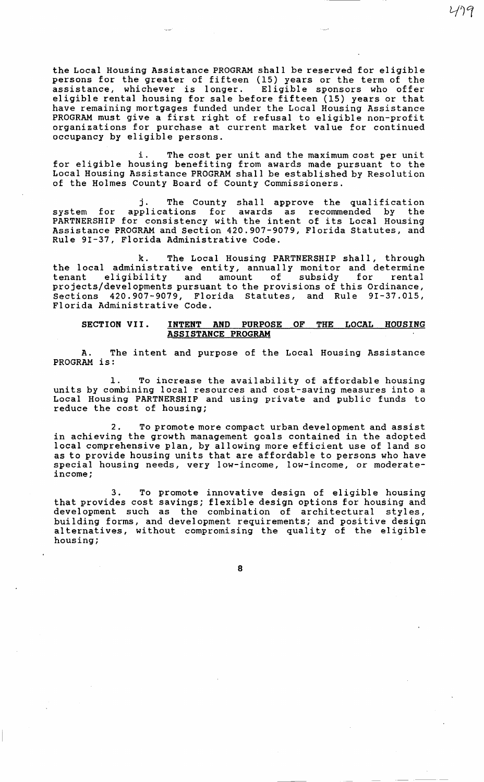the Local Housing Assistance PROGRAM shall be reserved for eligible persons for the greater of fifteen (15) years or the term of the assistance, whichever is longer. Eligible sponsors who offer assistance, whichever is longer. eligible rental housing for sale before fifteen (15) years or that have remaining mortgages funded under the Local Housing Assistance PROGRAM must give a first right of refusal to eligible non-profit organizations for purchase at current market value for continued occupancy by eligible persons.

179

i. The cost per unit and the maximum cost per unit for eligible housing benefiting from awards made pursuant to the Local Housing Assistance PROGRAM shall be established by Resolution of the Holmes County Board of County Commissioners.

j. The County shall approve the qualification system for applications for awards as recommended by the system for applications for awards as recommended by the<br>PARTNERSHIP for consistency with the intent of its Local Housing Assistance PROGRAM and Section 420.907-9079, Florida Statutes, and Rule 9I-37, Florida Administrative Code.

k. The Local Housing PARTNERSHIP shall, through the local administrative entity, annually monitor and determine<br>tenant eligibility and amount of subsidy for rental tenant eligibility and amount of subsidy projects/developments pursuant to the provisions of this Ordinance, Sections 420.907-9079, Florida Statutes, and Rule 9I-37.015, Florida Administrative Code.

#### SECTION VII. INTENT AND PURPOSE OF THE LOCAL HOUSING ASSISTANCE PROGRAM

A. The intent and purpose of the Local Housing Assistance PROGRAM is:

1. To increase the availability of affordable housing units by combining local resources and cost-saving measures into a Local Housing PARTNERSHIP and using private and public funds to reduce the cost of housing;

2. To promote more compact urban development and assist in achieving the growth management goals contained in the adopted local comprehensive plan, by allowing more efficient use of land so as to provide housing units that are affordable to persons who have special housing needs, very low-income, low-income, or moderateincome;

3. To promote innovative design of eligible housing that provides cost savings; flexible design options for housing and development such as the combination of architectural styles, building forms, and development requirements; and positive design alternatives, without compromising the quality of the eligible housing;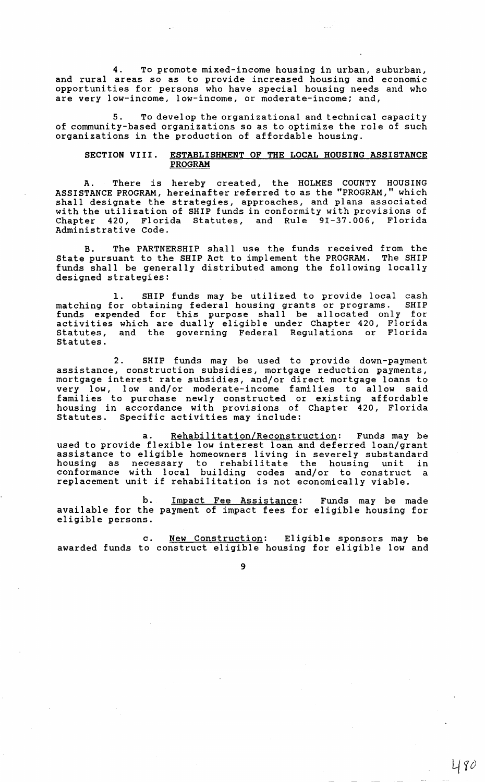4. To promote mixed-income housing in urban, suburban, and rural areas so as to provide increased housing and economic opportunities for persons who have special housing needs and who are very low-income, low-income, or moderate-income; and,

5. To develop the organizational and technical capacity of community-based organizations so as to optimize the role of such organizations in the production of affordable housing.

## SECTION VIII. ESTABLISHMENT OF THE LOCAL HOUSING ASSISTANCE PROGRAM

A. There is hereby created, the HOLMES COUNTY HOUSING ASSISTANCE PROGRAM, hereinafter referred to as the "PROGRAM," which shall designate the strategies, approaches, and plans associated with the utilization of SHIP funds in conformity with provisions of Chapter 420, Florida Statutes, and Rule 9I-37.006, Florida Administrative Code.

B. The PARTNERSHIP shall use the funds received from the State pursuant to the SHIP Act to implement the PROGRAM. The SHIP funds shall be generally distributed among the following locally designed strategies:

1. SHIP funds may be utilized to provide local cash matching for obtaining federal housing grants or programs. SHIP funds expended for this purpose shall be allocated only for activities which are dually eligible under Chapter 420, Florida Statutes, and the governing Federal Regulations or Florida Statutes.

2. SHIP funds may be used to provide down-payment assistance, construction subsidies, mortgage reduction payments, mortgage interest rate subsidies, and/or direct mortgage loans to very low, low and/or moderate-income families to allow said families to purchase newly constructed or existing affordable housing in accordance with provisions of Chapter 420, Florida Statutes. Specific activities may include:

a. Rehabilitation/Reconstruction: Funds may be used to provide flexible low interest loan and deferred loan/grant assistance to eligible homeowners living in severely substandard housing as necessary to rehabilitate the housing unit in conformance with local building codes and/or to construct a conformance with focal building codes and/of to construct<br>replacement unit if rehabilitation is not economically viable.

b. Impact Fee Assistance: Funds may be made available for the payment of impact fees for eligible housing for eligible persons.

c. New Construction: Eligible sponsors may be awarded funds to construct eligible housing for eligible low and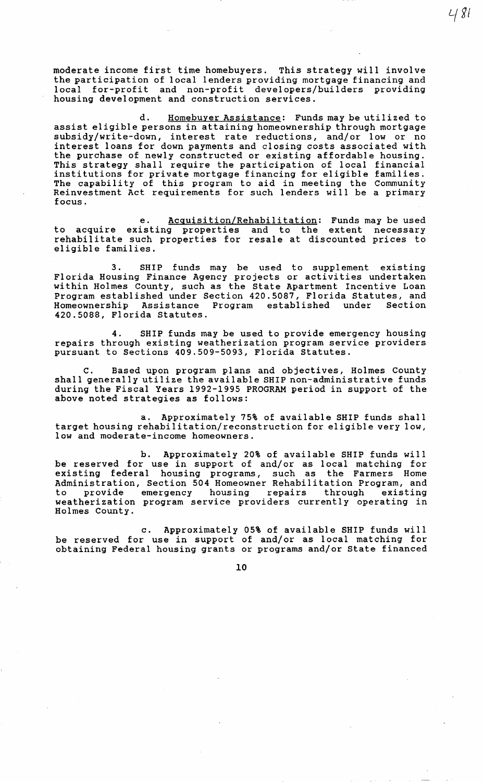moderate income first time homebuyers. This strategy will involve the participation of local lenders providing mortgage financing and local for-profit and non-profit developers/builders providing housing development and construction services.

 $481$ 

d. Homebuyer Assistance: Funds may be utilized to assist eligible persons in attaining homeownership through mortgage subsidy/write-down, interest rate reductions, and/or low or no interest loans for down payments and closing costs associated with the purchase of newly constructed or existing affordable housing. This strategy shall require the participation of local financial institutions for private mortgage financing for eligible families. The capability of this program to aid in meeting the Community Reinvestment Act requirements for such lenders will be a primary focus.

e. Acquisition/Rehabilitation: Funds may be used to acquire existing properties and to the extent necessary rehabilitate such properties for resale at discounted prices to eligible families.

3. SHIP funds may be used to supplement existing Florida Housing Finance Agency projects or activities undertaken within Holmes County, such as the State Apartment Incentive Loan Program established under Section 420.5087, Florida Statutes, and<br>Homeownership Assistance Program established under Section Homeownership Assistance Program established 420.5088, Florida Statutes.

4. SHIP funds may be used to provide emergency housing repairs through existing weatherization program service providers pursuant to Sections 409.509-5093, Florida Statutes.

c. Based upon program plans and objectives, Holmes County shall generally utilize the available SHIP non-administrative funds during the Fiscal Years 1992-1995 PROGRAM period in support of the above noted strategies as follows:

a. Approximately 75% of available SHIP funds shall target housing rehabilitation/ reconstruction for eligible very low, low and moderate-income homeowners.

b. Approximately 20% of available SHIP funds will be reserved for use in support of and/or as local matching for existing federal housing programs, such as the Farmers Home Administration, Section 504 Homeowner Rehabilitation Program, and to provide emergency housing repairs through existing weatherization program service providers currently operating in Holmes County.

c. Approximately 05% of available SHIP funds will be reserved for use in support of and/or as local matching for obtaining Federal housing grants or programs and/or State financed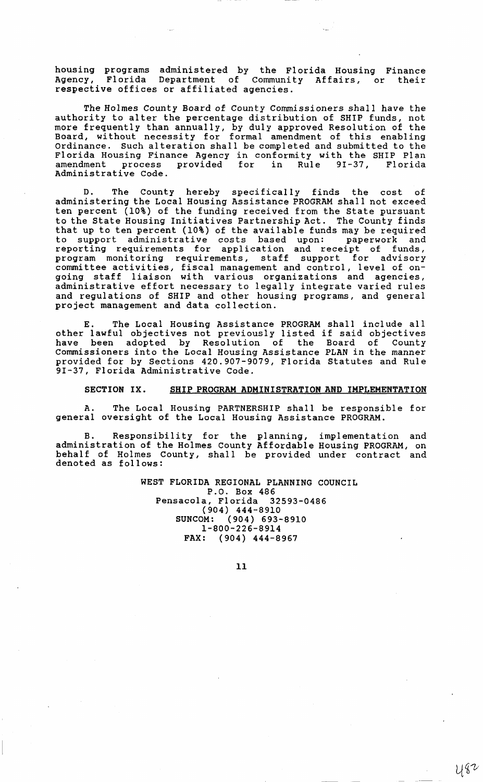housing programs administered by the Florida Housing Finance Agency, Florida Department of Community Affairs, or their respective offices or affiliated agencies.

The Holmes County Board of County Commissioners shall have the authority to alter the percentage distribution of SHIP funds, not more frequently than annually, by duly approved Resolution of the Board, without necessity for formal amendment of this enabling Ordinance. Such alteration shall be completed and submitted to the Florida Housing Finance Agency in conformity with the SHIP Plan amendment process provided for in Rule 9I-37, Florida Administrative Code.

D. The County hereby specifically finds the cost of administering the Local Housing Assistance PROGRAM shall not exceed ten percent (10%) of the funding received from the state pursuant to the State Housing Initiatives Partnership Act. The County finds that up to ten percent (10%) of the available funds may be required<br>to support administrative costs based upon: paperwork and to support administrative costs based upon: paperwork and reporting requirements for application and receipt of funds, program monitoring requirements, staff support for advisory committee activities, fiscal management and control, level of ongoing staff liaison with various organizations and agencies, administrative effort necessary to legally integrate varied rules and regulations of SHIP and other housing programs, and general project management and data collection.

E. The Local Housing Assistance PROGRAM shall include all other lawful objectives not previously listed if said objectives have been adopted by Resolution of the Board of County Commissioners into the Local Housing Assistance PLAN in the manner provided for by Sections 420.907-9079, Florida Statutes and Rule 9I-37, Florida Administrative Code.

### SECTION IX. SHIP PROGRAM ADMINISTRATION AND IMPLEMENTATION

A. The Local Housing PARTNERSHIP shall be responsible for general oversight of the Local Housing Assistance PROGRAM.

Responsibility for the planning, implementation and administration of the Holmes County Affordable Housing PROGRAM, on behalf of Holmes County, shall be provided under contract and denoted as follows:

> WEST FLORIDA REGIONAL PLANNING COUNCIL P.O. Box 486 Pensacola, Florida 32593-0486 (904) 444-8910 SUNCOM: (904) 693-8910 1-800-226-8914 FAX: (904) 444-8967

> > 11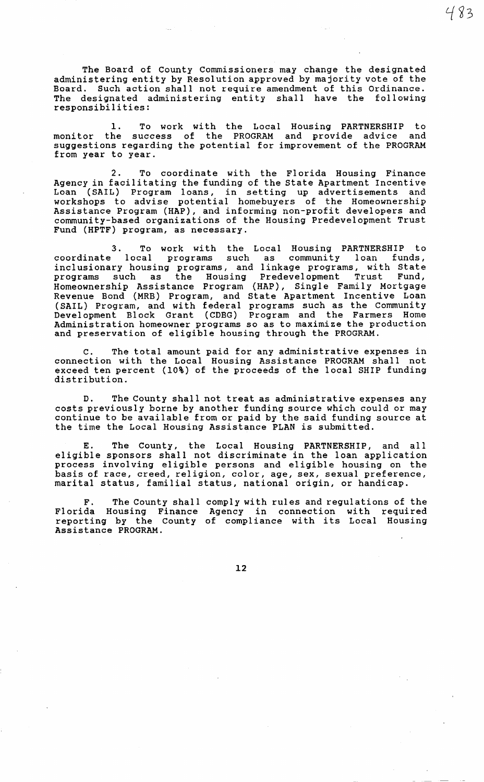The Board of County Commissioners may change the designated administering entity by Resolution approved by majority vote of the Board. Such action shall not require amendment of this Ordinance. The designated administering entity shall have the following responsibilities:

483

1. To work with the Local Housing PARTNERSHIP to<br>he success of the PROGRAM and provide advice and monitor the success of the PROGRAM and provide advice suggestions regarding the potential for improvement of the PROGRAM from year to year.

2. To coordinate with the Florida Housing Finance Agency in facilitating the funding of the State Apartment Incentive Loan (SAIL) Program loans, in setting up advertisements and workshops to advise potential homebuyers of the Homeownership Assistance Program (HAP), and informing non-profit developers and community-based organizations of the Housing Predevelopment Trust Fund (HPTF) program, as necessary.

3. To work with the Local Housing PARTNERSHIP to coordinate local programs such as community loan funds, coordinate local programs such as community loan funds,<br>inclusionary housing programs, and linkage programs, with State programs such as the Housing Predevel opment Trust Fund, Homeownership Assistance Program (HAP), Single Fami 1 y Mortgage Revenue Bond (MRB) Program, and State Apartment Incentive Loan (SAIL) Program, and with federal programs such as the Community Development Block Grant (CDBG) Program and the Farmers Home Administration homeowner programs so as to maximize the production and preservation of eligible housing through the PROGRAM.

c. The total amount paid for any administrative expenses in connection with the Local Housing Assistance PROGRAM shall not exceed ten percent (10%) of the proceeds of the local SHIP funding distribution.

D. The County shall not treat as administrative expenses any costs previously borne by another funding source which could or may continue to be available from or paid by the said funding source at the time the Local Housing Assistance PLAN is submitted.

E. The County, the Local Housing PARTNERSHIP, and all eligible sponsors shall not discriminate in the loan application process involving eligible persons and eligible housing on the basis of race, creed, religion, color, age, sex, sexual preference, marital status, familial status, national origin, or handicap.

F. The County shall comply with rules and regulations of the Florida Housing Finance reporting by the County Assistance PROGRAM. Agency in connection with required Agency in connection with required<br>of compliance with its Local Housing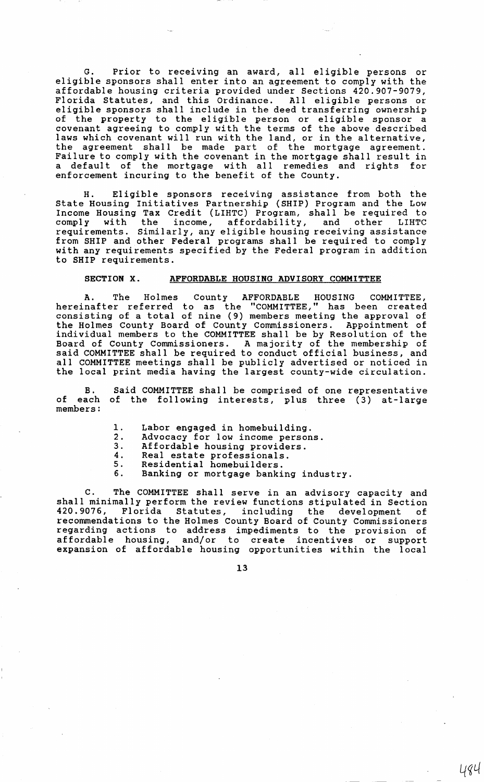G. Prior to receiving an award, all eligible persons or eligible sponsors shall enter into an agreement to comply with the affordable housing criteria provided under Sections 420.907-9079, Florida Statutes, and this Ordinance. All eligible persons or eligible sponsors shall include in the deed transferring ownership of the property to the eligible person or eligible sponsor a covenant agreeing to comply with the terms of the above described laws which covenant will run with the land, or in the alternative, the agreement shall be made part of the mortgage agreement. Failure to comply with the covenant in the mortgage shall result in a default of the mortgage with all remedies and rights for enforcement incuring to the benefit of the County.

H. Eligible sponsors receiving assistance from both the State Housing Initiatives Partnership (SHIP) Program and the Low Income Housing Tax Credit (LIHTC) Program, shall be required to comply with the income, affordability, and other LIHTC requirements. Similarly, any eligible housing receiving assistance from SHIP and other Federal programs shall be required to comply with any requirements specified by the Federal program in addition to SHIP requirements.

### SECTION X. AFFORDABLE HOUSING ADVISORY COMMITTEE

A. The Holmes County AFFORDABLE HOUSING COMMITTEE, hereinafter referred to as the "COMMITTEE," has been created consisting of a total of nine (9) members meeting the approval of the Holmes County Board of County Commissioners. Appointment of individual members to the COMMITTEE shall be by Resolution of the Board of County Commissioners. A majority of the membership of said COMMITTEE shall be required to conduct official business, and all COMMITTEE meetings shall be publicly advertised or noticed in the local print media having the largest county-wide circulation.

B. of each of the following interests, plus three (3) at-large members: Said COMMITTEE shall be comprised of one representative

- 1. Labor engaged in homebuilding.<br>2. Advocacy for low income person
- 2. Advocacy for low income persons.<br>3. Affordable housing providers.
- 3. Affordable housing providers.<br>4. Real estate professionals.
- 2. Heal estate professionals.
- 5. Residential homebuilders.
- 5. Residential homebuilders.<br>6. Banking or mortgage banking industry.

C. The COMMITTEE shall serve in an advisory capacity and shall minimally perform the review functions stipulated in Section 420. 9076, Florida Statutes, including the development of recommendations to the Holmes County Board of County Commissioners regarding actions to address impediments to the provision of affordable housing, and/or to create incentives or support expansion of affordable housing opportunities within the local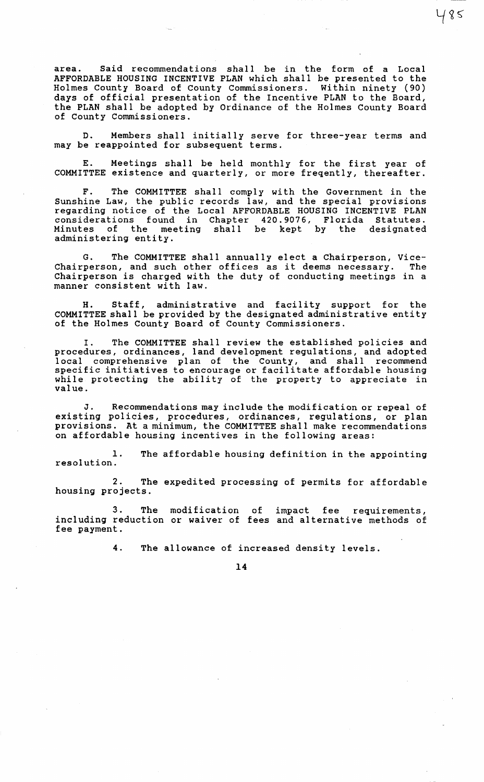area. Said recommendations shall be in the form of a Local AFFORDABLE HOUSING INCENTIVE PLAN which shall be presented to the Holmes County Board of County Commissioners. Within ninety (90) days of official presentation of the Incentive PLAN to the Board, the PLAN shall be adopted by Ordinance of the Holmes County Board of County Commissioners.

 $485$ 

D. Members shall initially serve for three-year terms and may be reappointed for subsequent terms.

E. Meetings shall be held monthly for the first year of COMMITTEE existence and quarterly, or more freqently, thereafter.

F. The COMMITTEE shall comply with the Government in the Sunshine Law, the public records law, and the special provisions regarding notice of the Local AFFORDABLE HOUSING INCENTIVE PLAN considerations found in Chapter 420.9076, Florida Statutes. Minutes of the meeting shall he kept by the designated Minutes of the me<br>administering entity.

G. The COMMITTEE shall annually elect a Chairperson, Vice-G. The COMMITTEE Shail annually elect a Chairperson, vice-<br>Chairperson, and such other offices as it deems necessary. The Chairperson is charged with the duty of conducting meetings in a manner consistent with law.

H. Staff, administrative and facility support for the COMMITTEE shall be provided by the designated administrative entity of the Holmes County Board of County Commissioners.

I. The COMMITTEE shall review the established policies and procedures, ordinances, land development regulations, and adopted local comprehensive plan of the County, and shall recommend specific initiatives to encourage or facilitate affordable housing while protecting the ability of the property to appreciate in value.

J. Recommendations may include the modification or repeal of existing policies, procedures, ordinances, regulations, or plan provisions. At a minimum, the COMMITTEE shall make recommendations on affordable housing incentives in the following areas:

1. The affordable housing definition in the appointing resolution.

2. The expedited processing of permits for affordable housing projects.

3. The modification of impact fee requirements, including reduction or waiver of fees and alternative methods of fee payment.

4. The allowance of increased density levels.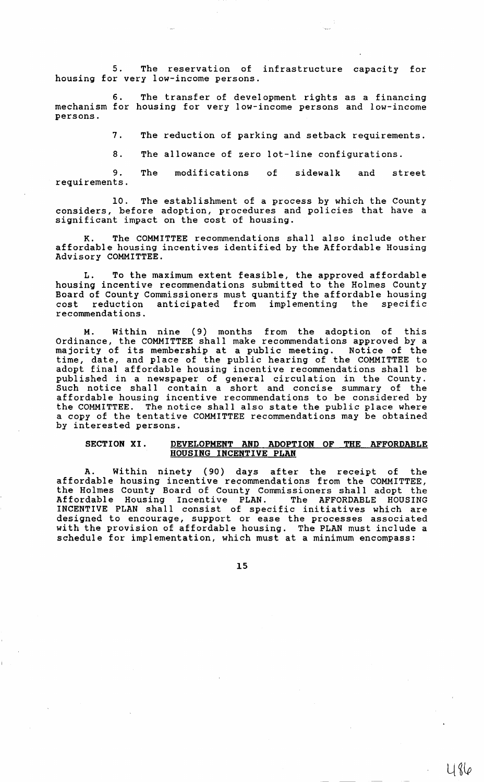5. The reservation of infrastructure capacity for housing for very low-income persons.

6. The transfer of development rights as a financing mechanism for housing for very low-income persons and low-income persons.

7. The reduction of parking and setback requirements.

8. The allowance of zero lot-line configurations.

9. requirements. The modifications of sidewalk and street

10. The establishment of a process by which the County considers, before adoption, procedures and policies that have a significant impact on the cost of housing.

K. The COMMITTEE recommendations shall also include other affordable housing incentives identified by the Affordable Housing Advisory COMMITTEE.

L. To the maximum extent feasible, the approved affordable housing incentive recommendations submitted to the Holmes County Board of County Commissioners must quantify the affordable housing<br>cost reduction anticipated from implementing the specific cost reduction anticipated from implementing recommendations.

Within nine (9) months from the adoption of this Ordinance, the COMMITTEE shall make recommendations approved by a majority of its membership at a public meeting. Notice of the time, date, and place of the public hearing of the COMMITTEE to adopt final affordable housing incentive recommendations shall be published in a newspaper of general circulation in the County. Such notice shall contain a short and concise summary of the affordable housing incentive recommendations to be considered by the COMMITTEE. The notice shall also state the public place where a copy of the tentative COMMITTEE recommendations may be obtained by interested persons.

## SECTION XI. DEVELOPMENT AND ADOPTION OF THE AFFORDABLE HOUSING INCENTIVE PLAN

A. Within ninety (90) days after the receipt of the affordable housing incentive recommendations from the COMMITTEE, the Holmes County Board of County Commissioners shall adopt the Affordable Housing Incentive PLAN. The AFFORDABLE HOUSING INCENTIVE PLAN shall consist of specific initiatives which are designed to encourage, support or ease the processes associated with the provision of affordable housing. The PLAN must include a schedule for implementation, which must at a minimum encompass: